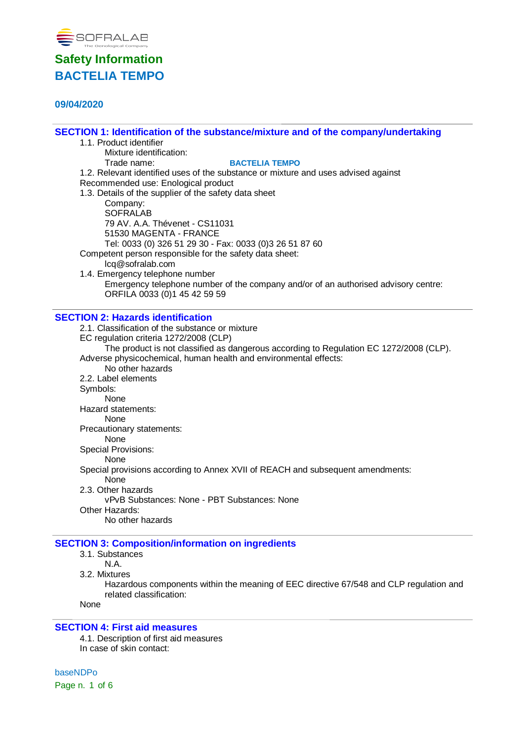

## **09/04/2020**

**SECTION 1: Identification of the substance/mixture and of the company/undertaking**

| <u>ULUTTUR T. NGHIMBANDH OFING SUDSIANGGHIMANI GʻAHU OFING GOMDANIYI UNGI IANING</u>   |  |
|----------------------------------------------------------------------------------------|--|
| 1.1. Product identifier                                                                |  |
| Mixture identification:                                                                |  |
| Trade name:<br><b>BACTELIA TEMPO</b>                                                   |  |
| 1.2. Relevant identified uses of the substance or mixture and uses advised against     |  |
| Recommended use: Enological product                                                    |  |
| 1.3. Details of the supplier of the safety data sheet                                  |  |
| Company:                                                                               |  |
| <b>SOFRALAB</b>                                                                        |  |
| 79 AV. A.A. Thévenet - CS11031                                                         |  |
| 51530 MAGENTA - FRANCE                                                                 |  |
| Tel: 0033 (0) 326 51 29 30 - Fax: 0033 (0)3 26 51 87 60                                |  |
| Competent person responsible for the safety data sheet:                                |  |
| lcq@sofralab.com                                                                       |  |
| 1.4. Emergency telephone number                                                        |  |
| Emergency telephone number of the company and/or of an authorised advisory centre:     |  |
| ORFILA 0033 (0)1 45 42 59 59                                                           |  |
|                                                                                        |  |
| <b>SECTION 2: Hazards identification</b>                                               |  |
| 2.1. Classification of the substance or mixture                                        |  |
| EC regulation criteria 1272/2008 (CLP)                                                 |  |
| The product is not classified as dangerous according to Regulation EC 1272/2008 (CLP). |  |
| Adverse physicochemical, human health and environmental effects:                       |  |
| No other hazards                                                                       |  |
| 2.2. Label elements                                                                    |  |

Symbols:

None

Hazard statements:

None

Precautionary statements:

None

Special Provisions: None

Special provisions according to Annex XVII of REACH and subsequent amendments:

None

2.3. Other hazards

vPvB Substances: None - PBT Substances: None

Other Hazards:

No other hazards

## **SECTION 3: Composition/information on ingredients**

3.1. Substances

N.A.

3.2. Mixtures

Hazardous components within the meaning of EEC directive 67/548 and CLP regulation and related classification:

None

#### **SECTION 4: First aid measures**

4.1. Description of first aid measures In case of skin contact:

baseNDPo Page n. 1 of 6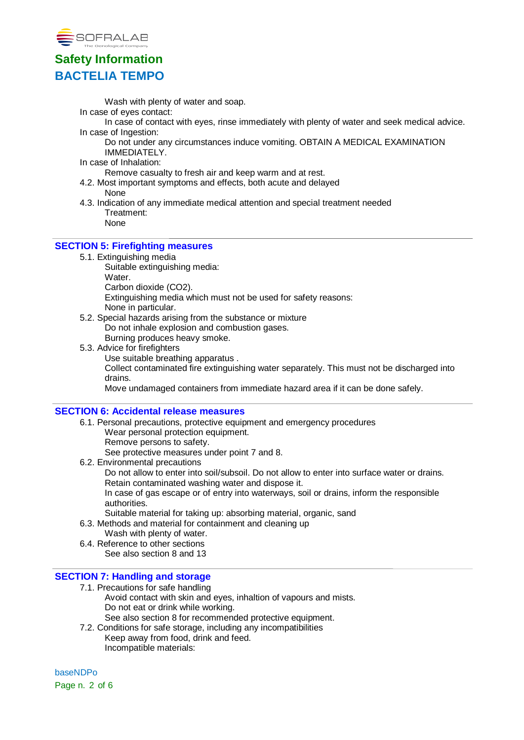

Wash with plenty of water and soap.

In case of eyes contact:

In case of contact with eyes, rinse immediately with plenty of water and seek medical advice. In case of Ingestion:

Do not under any circumstances induce vomiting. OBTAIN A MEDICAL EXAMINATION IMMEDIATELY.

In case of Inhalation:

Remove casualty to fresh air and keep warm and at rest.

- 4.2. Most important symptoms and effects, both acute and delayed None
- 4.3. Indication of any immediate medical attention and special treatment needed Treatment:

None

#### **SECTION 5: Firefighting measures**

5.1. Extinguishing media

Suitable extinguishing media:

**Water** 

- Carbon dioxide (CO2).
- Extinguishing media which must not be used for safety reasons:
- None in particular.
- 5.2. Special hazards arising from the substance or mixture Do not inhale explosion and combustion gases. Burning produces heavy smoke.
- 5.3. Advice for firefighters
	- Use suitable breathing apparatus .

Collect contaminated fire extinguishing water separately. This must not be discharged into drains.

Move undamaged containers from immediate hazard area if it can be done safely.

#### **SECTION 6: Accidental release measures**

- 6.1. Personal precautions, protective equipment and emergency procedures Wear personal protection equipment. Remove persons to safety. See protective measures under point 7 and 8.
- 6.2. Environmental precautions
	- Do not allow to enter into soil/subsoil. Do not allow to enter into surface water or drains. Retain contaminated washing water and dispose it.

In case of gas escape or of entry into waterways, soil or drains, inform the responsible authorities.

- Suitable material for taking up: absorbing material, organic, sand
- 6.3. Methods and material for containment and cleaning up
- Wash with plenty of water. 6.4. Reference to other sections
- See also section 8 and 13

#### **SECTION 7: Handling and storage**

- 7.1. Precautions for safe handling
	- Avoid contact with skin and eyes, inhaltion of vapours and mists. Do not eat or drink while working.
	- See also section 8 for recommended protective equipment.
- 7.2. Conditions for safe storage, including any incompatibilities Keep away from food, drink and feed. Incompatible materials:

baseNDPo Page n. 2 of 6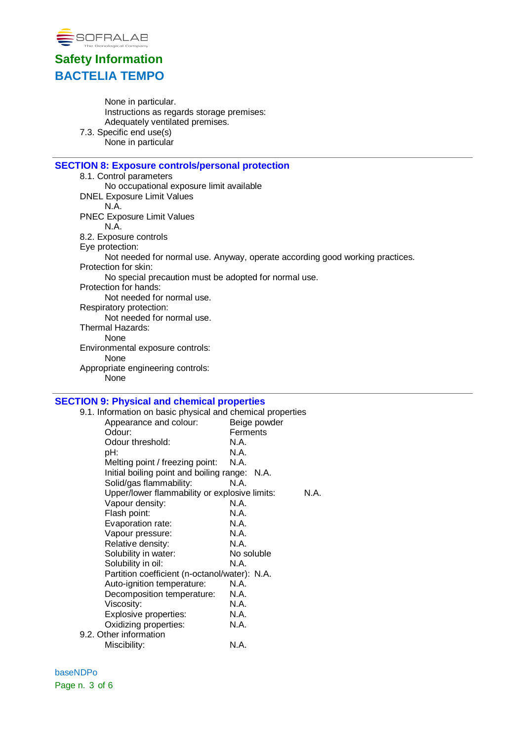

None in particular. Instructions as regards storage premises: Adequately ventilated premises. 7.3. Specific end use(s) None in particular

### **SECTION 8: Exposure controls/personal protection**

8.1. Control parameters No occupational exposure limit available DNEL Exposure Limit Values N.A. PNEC Exposure Limit Values N.A. 8.2. Exposure controls Eye protection: Not needed for normal use. Anyway, operate according good working practices. Protection for skin: No special precaution must be adopted for normal use. Protection for hands: Not needed for normal use. Respiratory protection: Not needed for normal use. Thermal Hazards: None Environmental exposure controls: None Appropriate engineering controls: None

#### **SECTION 9: Physical and chemical properties**

| 9.1. Information on basic physical and chemical properties |              |
|------------------------------------------------------------|--------------|
| Appearance and colour:                                     | Beige powder |
| Odour:                                                     | Ferments     |
| Odour threshold:                                           | N.A.         |
| pH:                                                        | N.A.         |
| Melting point / freezing point:                            | N.A.         |
| Initial boiling point and boiling range: N.A.              |              |
| Solid/gas flammability:                                    | N.A.         |
| Upper/lower flammability or explosive limits:              | N.A.         |
| Vapour density:                                            | N.A.         |
| Flash point:                                               | N.A.         |
| Evaporation rate:                                          | N.A.         |
| Vapour pressure:                                           | N.A.         |
| Relative density:                                          | N.A.         |
| Solubility in water:                                       | No soluble   |
| Solubility in oil:                                         | N.A.         |
| Partition coefficient (n-octanol/water): N.A.              |              |
| Auto-ignition temperature:                                 | N.A.         |
| Decomposition temperature:                                 | N.A.         |
| Viscosity:                                                 | N.A.         |
| Explosive properties:                                      | N.A.         |
| Oxidizing properties:                                      | N.A.         |
| 9.2. Other information                                     |              |
| Miscibility:                                               | N.A.         |
|                                                            |              |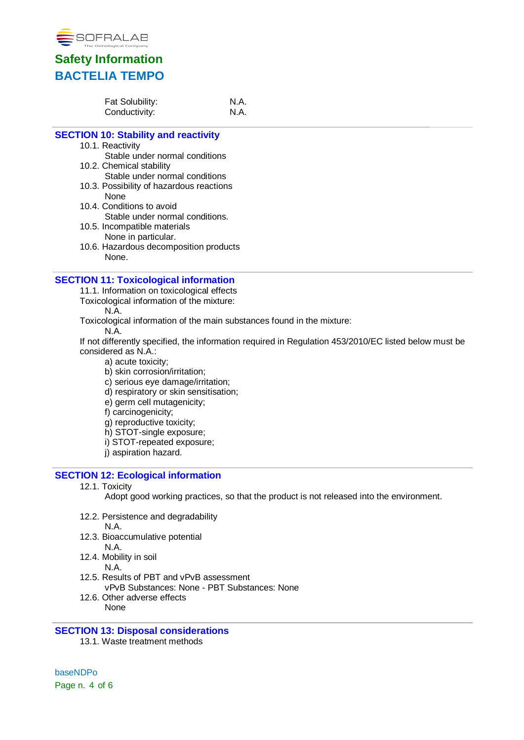

| Fat Solubility: | N.A. |
|-----------------|------|
| Conductivity:   | N.A. |

### **SECTION 10: Stability and reactivity**

- 10.1. Reactivity
- Stable under normal conditions 10.2. Chemical stability
	- Stable under normal conditions
- 10.3. Possibility of hazardous reactions None
- 10.4. Conditions to avoid Stable under normal conditions.
- 10.5. Incompatible materials None in particular.
- 10.6. Hazardous decomposition products None.

#### **SECTION 11: Toxicological information**

- 11.1. Information on toxicological effects
- Toxicological information of the mixture:

N.A.

Toxicological information of the main substances found in the mixture:

N.A.

If not differently specified, the information required in Regulation 453/2010/EC listed below must be considered as N.A.:

- a) acute toxicity;
- b) skin corrosion/irritation;
- c) serious eye damage/irritation;
- d) respiratory or skin sensitisation;
- e) germ cell mutagenicity;
- f) carcinogenicity;
- g) reproductive toxicity;
- h) STOT-single exposure;
- i) STOT-repeated exposure;
- j) aspiration hazard.

#### **SECTION 12: Ecological information**

12.1. Toxicity

Adopt good working practices, so that the product is not released into the environment.

- 12.2. Persistence and degradability N.A.
- 12.3. Bioaccumulative potential
	- N.A.
- 12.4. Mobility in soil
	- N.A.
- 12.5. Results of PBT and vPvB assessment vPvB Substances: None - PBT Substances: None
- 12.6. Other adverse effects None
- **SECTION 13: Disposal considerations**
	- 13.1. Waste treatment methods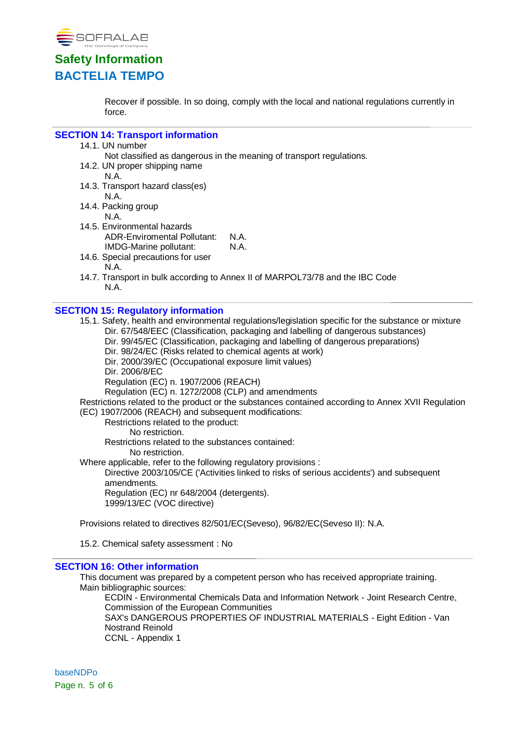

Recover if possible. In so doing, comply with the local and national regulations currently in force.

#### **SECTION 14: Transport information**

14.1. UN number

Not classified as dangerous in the meaning of transport regulations.

- 14.2. UN proper shipping name
	- N.A.
- 14.3. Transport hazard class(es) N.A.
- 14.4. Packing group
	- N.A.
- 14.5. Environmental hazards ADR-Enviromental Pollutant: N.A. IMDG-Marine pollutant: N.A.
- 14.6. Special precautions for user N.A.
- 14.7. Transport in bulk according to Annex II of MARPOL73/78 and the IBC Code N.A.

#### **SECTION 15: Regulatory information**

15.1. Safety, health and environmental regulations/legislation specific for the substance or mixture Dir. 67/548/EEC (Classification, packaging and labelling of dangerous substances) Dir. 99/45/EC (Classification, packaging and labelling of dangerous preparations) Dir. 98/24/EC (Risks related to chemical agents at work) Dir. 2000/39/EC (Occupational exposure limit values) Dir. 2006/8/EC Regulation (EC) n. 1907/2006 (REACH) Regulation (EC) n. 1272/2008 (CLP) and amendments Restrictions related to the product or the substances contained according to Annex XVII Regulation (EC) 1907/2006 (REACH) and subsequent modifications: Restrictions related to the product: No restriction. Restrictions related to the substances contained: No restriction. Where applicable, refer to the following regulatory provisions : Directive 2003/105/CE ('Activities linked to risks of serious accidents') and subsequent amendments. Regulation (EC) nr 648/2004 (detergents). 1999/13/EC (VOC directive) Provisions related to directives 82/501/EC(Seveso), 96/82/EC(Seveso II): N.A.

15.2. Chemical safety assessment : No

#### **SECTION 16: Other information**

This document was prepared by a competent person who has received appropriate training. Main bibliographic sources:

ECDIN - Environmental Chemicals Data and Information Network - Joint Research Centre, Commission of the European Communities SAX's DANGEROUS PROPERTIES OF INDUSTRIAL MATERIALS - Eight Edition - Van Nostrand Reinold CCNL - Appendix 1